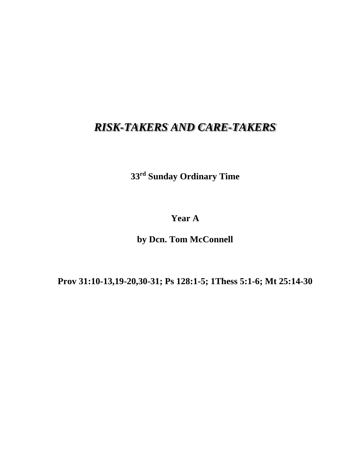## *RISK-TAKERS AND CARE-TAKERS*

**33rd Sunday Ordinary Time**

**Year A**

**by Dcn. Tom McConnell**

**Prov 31:10-13,19-20,30-31; Ps 128:1-5; 1Thess 5:1-6; Mt 25:14-30**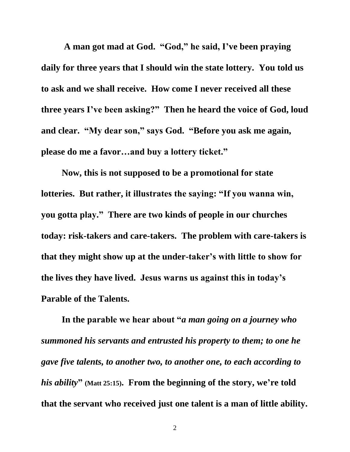**A man got mad at God. "God," he said, I've been praying daily for three years that I should win the state lottery. You told us to ask and we shall receive. How come I never received all these three years I've been asking?" Then he heard the voice of God, loud and clear. "My dear son," says God. "Before you ask me again, please do me a favor…and buy a lottery ticket."**

**Now, this is not supposed to be a promotional for state lotteries. But rather, it illustrates the saying: "If you wanna win, you gotta play." There are two kinds of people in our churches today: risk-takers and care-takers. The problem with care-takers is that they might show up at the under-taker's with little to show for the lives they have lived. Jesus warns us against this in today's Parable of the Talents.**

**In the parable we hear about "***a man going on a journey who summoned his servants and entrusted his property to them; to one he gave five talents, to another two, to another one, to each according to his ability***" (Matt 25:15). From the beginning of the story, we're told that the servant who received just one talent is a man of little ability.**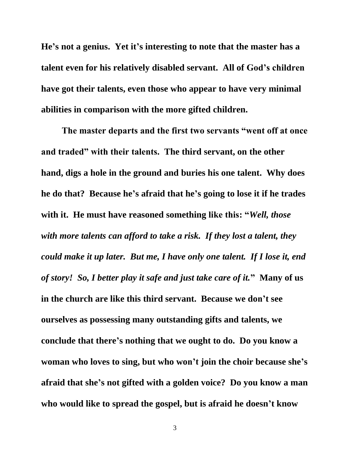**He's not a genius. Yet it's interesting to note that the master has a talent even for his relatively disabled servant. All of God's children have got their talents, even those who appear to have very minimal abilities in comparison with the more gifted children.**

**The master departs and the first two servants "went off at once and traded" with their talents. The third servant, on the other hand, digs a hole in the ground and buries his one talent. Why does he do that? Because he's afraid that he's going to lose it if he trades with it. He must have reasoned something like this: "***Well, those with more talents can afford to take a risk. If they lost a talent, they could make it up later. But me, I have only one talent. If I lose it, end of story! So, I better play it safe and just take care of it.***" Many of us in the church are like this third servant. Because we don't see ourselves as possessing many outstanding gifts and talents, we conclude that there's nothing that we ought to do. Do you know a woman who loves to sing, but who won't join the choir because she's afraid that she's not gifted with a golden voice? Do you know a man who would like to spread the gospel, but is afraid he doesn't know**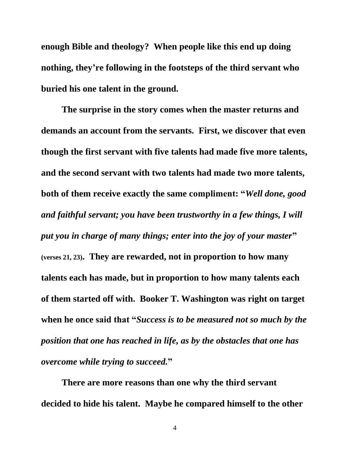**enough Bible and theology? When people like this end up doing nothing, they're following in the footsteps of the third servant who buried his one talent in the ground.**

**The surprise in the story comes when the master returns and demands an account from the servants. First, we discover that even though the first servant with five talents had made five more talents, and the second servant with two talents had made two more talents, both of them receive exactly the same compliment: "***Well done, good and faithful servant; you have been trustworthy in a few things, I will put you in charge of many things; enter into the joy of your master***" (verses 21, 23). They are rewarded, not in proportion to how many talents each has made, but in proportion to how many talents each of them started off with. Booker T. Washington was right on target when he once said that "***Success is to be measured not so much by the position that one has reached in life, as by the obstacles that one has overcome while trying to succeed.***"**

**There are more reasons than one why the third servant decided to hide his talent. Maybe he compared himself to the other** 

4